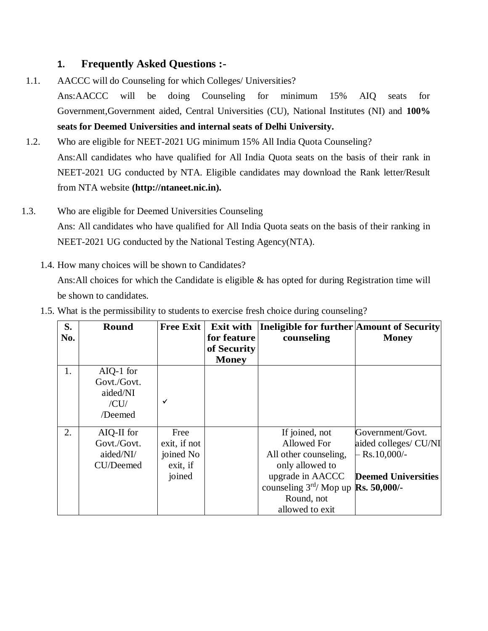# **1. Frequently Asked Questions :-**

- 1.1. AACCC will do Counseling for which Colleges/ Universities? Ans:AACCC will be doing Counseling for minimum 15% AIQ seats for Government,Government aided, Central Universities (CU), National Institutes (NI) and **100% seats for Deemed Universities and internal seats of Delhi University.**
- 1.2. Who are eligible for NEET-2021 UG minimum 15% All India Quota Counseling? Ans:All candidates who have qualified for All India Quota seats on the basis of their rank in NEET-2021 UG conducted by NTA. Eligible candidates may download the Rank letter/Result from NTA website **(http://ntaneet.nic.in).**
- 1.3. Who are eligible for Deemed Universities Counseling Ans: All candidates who have qualified for All India Quota seats on the basis of their ranking in NEET-2021 UG conducted by the National Testing Agency(NTA).
	- 1.4. How many choices will be shown to Candidates? Ans:All choices for which the Candidate is eligible & has opted for during Registration time will be shown to candidates.

| S.  | <b>Round</b> | <b>Free Exit</b> | <b>Exit with</b> | Ineligible for further Amount of Security             |                            |
|-----|--------------|------------------|------------------|-------------------------------------------------------|----------------------------|
| No. |              |                  | for feature      | counseling                                            | <b>Money</b>               |
|     |              |                  | of Security      |                                                       |                            |
|     |              |                  | <b>Money</b>     |                                                       |                            |
| 1.  | $AIQ-1$ for  |                  |                  |                                                       |                            |
|     | Govt./Govt.  |                  |                  |                                                       |                            |
|     | aided/NI     |                  |                  |                                                       |                            |
|     | /CU/         | ✓                |                  |                                                       |                            |
|     | /Deemed      |                  |                  |                                                       |                            |
| 2.  | AIQ-II for   | Free             |                  | If joined, not                                        | Government/Govt.           |
|     | Govt./Govt.  | exit, if not     |                  | Allowed For                                           | aided colleges/ CU/NI      |
|     | aided/NI/    | joined No        |                  | All other counseling,                                 | $-Rs.10,000/-$             |
|     | CU/Deemed    | exit, if         |                  | only allowed to                                       |                            |
|     |              | joined           |                  | upgrade in AACCC                                      | <b>Deemed Universities</b> |
|     |              |                  |                  | counseling $3^{\text{rd}}$ Mop up <b>Rs. 50,000/-</b> |                            |
|     |              |                  |                  | Round, not                                            |                            |
|     |              |                  |                  | allowed to exit                                       |                            |

1.5. What is the permissibility to students to exercise fresh choice during counseling?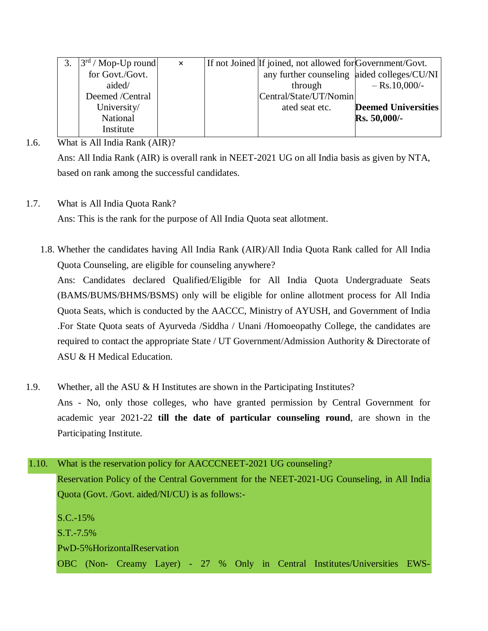|                 | $\times$ |                             |                                                                                                                                        |
|-----------------|----------|-----------------------------|----------------------------------------------------------------------------------------------------------------------------------------|
| for Govt./Govt. |          |                             |                                                                                                                                        |
| aided/          |          | $-$ Rs. 10,000/-<br>through |                                                                                                                                        |
| Deemed /Central |          | Central/State/UT/Nomin      |                                                                                                                                        |
| University/     |          | ated seat etc.              |                                                                                                                                        |
| National        |          | $Rs. 50,000/$ -             |                                                                                                                                        |
| Institute       |          |                             |                                                                                                                                        |
|                 |          | $ 3^{rd}$ / Mop-Up round    | If not Joined If joined, not allowed for Government/Govt.<br>any further counseling aided colleges/CU/NI<br><b>Deemed Universities</b> |

# 1.6. What is All India Rank (AIR)?

Ans: All India Rank (AIR) is overall rank in NEET-2021 UG on all India basis as given by NTA, based on rank among the successful candidates.

## 1.7. What is All India Quota Rank?

Ans: This is the rank for the purpose of All India Quota seat allotment.

1.8. Whether the candidates having All India Rank (AIR)/All India Quota Rank called for All India Quota Counseling, are eligible for counseling anywhere?

Ans: Candidates declared Qualified/Eligible for All India Quota Undergraduate Seats (BAMS/BUMS/BHMS/BSMS) only will be eligible for online allotment process for All India Quota Seats, which is conducted by the AACCC, Ministry of AYUSH, and Government of India .For State Quota seats of Ayurveda /Siddha / Unani /Homoeopathy College, the candidates are required to contact the appropriate State / UT Government/Admission Authority & Directorate of ASU & H Medical Education.

- 1.9. Whether, all the ASU & H Institutes are shown in the Participating Institutes? Ans - No, only those colleges, who have granted permission by Central Government for academic year 2021-22 **till the date of particular counseling round**, are shown in the Participating Institute.
- 1.10. What is the reservation policy for AACCCNEET-2021 UG counseling? Reservation Policy of the Central Government for the NEET-2021-UG Counseling, in All India Quota (Govt. /Govt. aided/NI/CU) is as follows:- S.C.-15% S.T.-7.5% PwD-5%HorizontalReservation OBC (Non- Creamy Layer) - 27 % Only in Central Institutes/Universities EWS-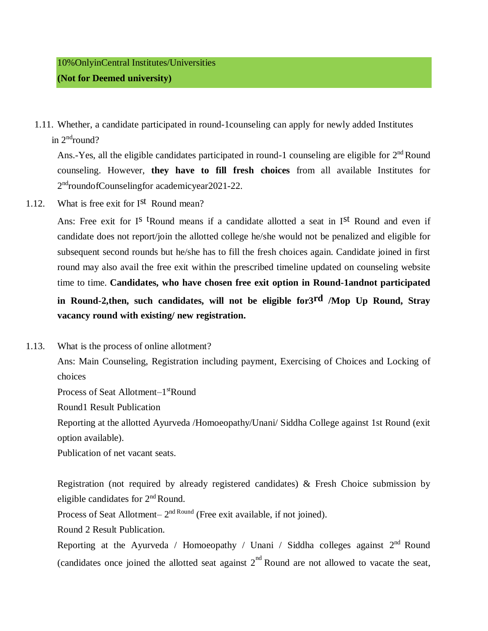1.11. Whether, a candidate participated in round-1counseling can apply for newly added Institutes in 2<sup>nd</sup>round?

Ans.-Yes, all the eligible candidates participated in round-1 counseling are eligible for 2<sup>nd</sup> Round counseling. However, **they have to fill fresh choices** from all available Institutes for 2<sup>nd</sup>roundofCounselingfor academicyear2021-22.

1.12. What is free exit for Ist Round mean?

Ans: Free exit for I<sup>s t</sup>Round means if a candidate allotted a seat in I<sup>st</sup> Round and even if candidate does not report/join the allotted college he/she would not be penalized and eligible for subsequent second rounds but he/she has to fill the fresh choices again. Candidate joined in first round may also avail the free exit within the prescribed timeline updated on counseling website time to time. **Candidates, who have chosen free exit option in Round-1andnot participated in Round-2,then, such candidates, will not be eligible for3rd /Mop Up Round, Stray vacancy round with existing/ new registration.**

1.13. What is the process of online allotment?

Ans: Main Counseling, Registration including payment, Exercising of Choices and Locking of choices

Process of Seat Allotment-1<sup>st</sup>Round

Round1 Result Publication

Reporting at the allotted Ayurveda /Homoeopathy/Unani/ Siddha College against 1st Round (exit option available).

Publication of net vacant seats.

Registration (not required by already registered candidates) & Fresh Choice submission by eligible candidates for 2<sup>nd</sup> Round.

Process of Seat Allotment– 2<sup>nd Round</sup> (Free exit available, if not joined).

Round 2 Result Publication.

Reporting at the Ayurveda / Homoeopathy / Unani / Siddha colleges against  $2<sup>nd</sup>$  Round (candidates once joined the allotted seat against  $2<sup>nd</sup>$  Round are not allowed to vacate the seat,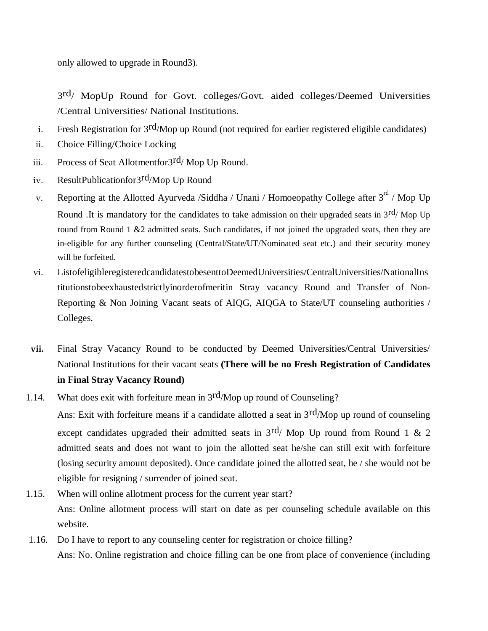only allowed to upgrade in Round3).

3 rd/ MopUp Round for Govt. colleges/Govt. aided colleges/Deemed Universities /Central Universities/ National Institutions.

- i. Fresh Registration for 3rd/Mop up Round (not required for earlier registered eligible candidates)
- ii. Choice Filling/Choice Locking
- iii. Process of Seat Allotmentfor $3^{rd}/$  Mop Up Round.
- iv. ResultPublicationfor3rd/Mop Up Round
- v. Reporting at the Allotted Ayurveda /Siddha / Unani / Homoeopathy College after  $3<sup>rd</sup>$  / Mop Up Round .It is mandatory for the candidates to take admission on their upgraded seats in  $3<sup>rd</sup>$  Mop Up round from Round 1 &2 admitted seats. Such candidates, if not joined the upgraded seats, then they are in-eligible for any further counseling (Central/State/UT/Nominated seat etc.) and their security money will be forfeited.
- vi. ListofeligibleregisteredcandidatestobesenttoDeemedUniversities/CentralUniversities/NationalIns titutionstobeexhaustedstrictlyinorderofmeritin Stray vacancy Round and Transfer of Non-Reporting & Non Joining Vacant seats of AIQG, AIQGA to State/UT counseling authorities / Colleges.
- vii. Final Stray Vacancy Round to be conducted by Deemed Universities/Central Universities/ National Institutions for their vacant seats **(There will be no Fresh Registration of Candidates in Final Stray Vacancy Round)**
- 1.14. What does exit with forfeiture mean in  $3<sup>rd</sup>/Mop$  up round of Counseling?

Ans: Exit with forfeiture means if a candidate allotted a seat in 3rd/Mop up round of counseling except candidates upgraded their admitted seats in  $3<sup>rd</sup>$  Mop Up round from Round 1 & 2 admitted seats and does not want to join the allotted seat he/she can still exit with forfeiture (losing security amount deposited). Once candidate joined the allotted seat, he / she would not be eligible for resigning / surrender of joined seat.

- 1.15. When will online allotment process for the current year start? Ans: Online allotment process will start on date as per counseling schedule available on this website.
- 1.16. Do I have to report to any counseling center for registration or choice filling? Ans: No. Online registration and choice filling can be one from place of convenience (including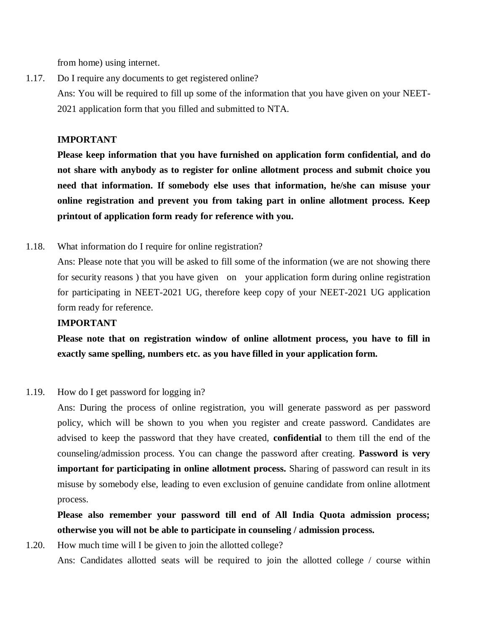from home) using internet.

1.17. Do I require any documents to get registered online? Ans: You will be required to fill up some of the information that you have given on your NEET-2021 application form that you filled and submitted to NTA.

#### **IMPORTANT**

**Please keep information that you have furnished on application form confidential, and do not share with anybody as to register for online allotment process and submit choice you need that information. If somebody else uses that information, he/she can misuse your online registration and prevent you from taking part in online allotment process. Keep printout of application form ready for reference with you.**

#### 1.18. What information do I require for online registration?

Ans: Please note that you will be asked to fill some of the information (we are not showing there for security reasons ) that you have given on your application form during online registration for participating in NEET-2021 UG, therefore keep copy of your NEET-2021 UG application form ready for reference.

#### **IMPORTANT**

**Please note that on registration window of online allotment process, you have to fill in exactly same spelling, numbers etc. as you have filled in your application form.**

#### 1.19. How do I get password for logging in?

Ans: During the process of online registration, you will generate password as per password policy, which will be shown to you when you register and create password. Candidates are advised to keep the password that they have created, **confidential** to them till the end of the counseling/admission process. You can change the password after creating. **Password is very important for participating in online allotment process.** Sharing of password can result in its misuse by somebody else, leading to even exclusion of genuine candidate from online allotment process.

**Please also remember your password till end of All India Quota admission process; otherwise you will not be able to participate in counseling / admission process.**

1.20. How much time will I be given to join the allotted college? Ans: Candidates allotted seats will be required to join the allotted college / course within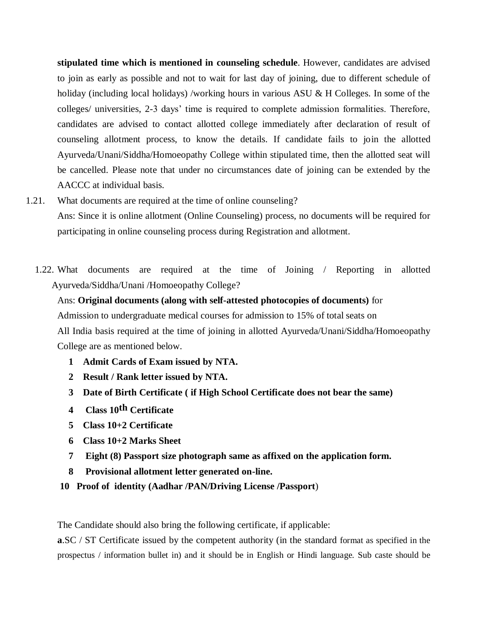**stipulated time which is mentioned in counseling schedule**. However, candidates are advised to join as early as possible and not to wait for last day of joining, due to different schedule of holiday (including local holidays) /working hours in various ASU & H Colleges. In some of the colleges/ universities, 2-3 days' time is required to complete admission formalities. Therefore, candidates are advised to contact allotted college immediately after declaration of result of counseling allotment process, to know the details. If candidate fails to join the allotted Ayurveda/Unani/Siddha/Homoeopathy College within stipulated time, then the allotted seat will be cancelled. Please note that under no circumstances date of joining can be extended by the AACCC at individual basis.

- 1.21. What documents are required at the time of online counseling? Ans: Since it is online allotment (Online Counseling) process, no documents will be required for participating in online counseling process during Registration and allotment.
	- 1.22. What documents are required at the time of Joining / Reporting in allotted Ayurveda/Siddha/Unani /Homoeopathy College?

Ans: **Original documents (along with self-attested photocopies of documents)** for Admission to undergraduate medical courses for admission to 15% of total seats on All India basis required at the time of joining in allotted Ayurveda/Unani/Siddha/Homoeopathy

College are as mentioned below.

- **1 Admit Cards of Exam issued by NTA.**
- **2 Result / Rank letter issued by NTA.**
- **3 Date of Birth Certificate ( if High School Certificate does not bear the same)**
- **4 Class 10th Certificate**
- **5 Class 10+2 Certificate**
- **6 Class 10+2 Marks Sheet**
- **7 Eight (8) Passport size photograph same as affixed on the application form.**
- **8 Provisional allotment letter generated on-line.**
- **10 Proof of identity (Aadhar /PAN/Driving License /Passport**)

The Candidate should also bring the following certificate, if applicable:

**a.SC** / ST Certificate issued by the competent authority (in the standard format as specified in the prospectus / information bullet in) and it should be in English or Hindi language. Sub caste should be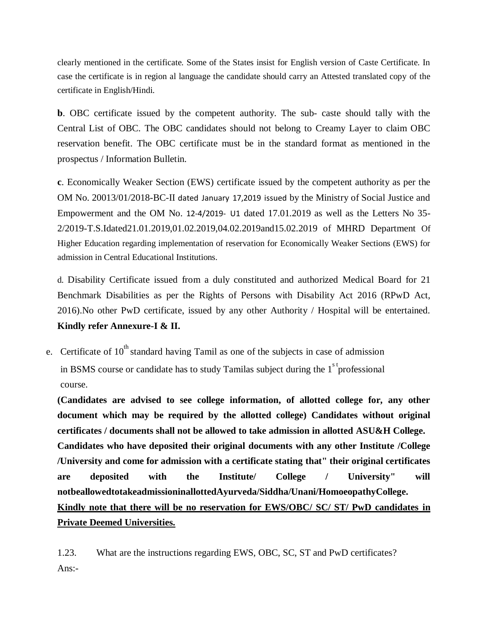clearly mentioned in the certificate. Some of the States insist for English version of Caste Certificate. In case the certificate is in region al language the candidate should carry an Attested translated copy of the certificate in English/Hindi.

**b**. OBC certificate issued by the competent authority. The sub- caste should tally with the Central List of OBC. The OBC candidates should not belong to Creamy Layer to claim OBC reservation benefit. The OBC certificate must be in the standard format as mentioned in the prospectus / Information Bulletin.

**c**. Economically Weaker Section (EWS) certificate issued by the competent authority as per the OM No. 20013/01/2018-BC-II dated January 17,2019 issued by the Ministry of Social Justice and Empowerment and the OM No. 12-4/2019- U1 dated 17.01.2019 as well as the Letters No 35- 2/2019-T.S.Idated21.01.2019,01.02.2019,04.02.2019and15.02.2019 of MHRD Department Of Higher Education regarding implementation of reservation for Economically Weaker Sections (EWS) for admission in Central Educational Institutions.

d. Disability Certificate issued from a duly constituted and authorized Medical Board for 21 Benchmark Disabilities as per the Rights of Persons with Disability Act 2016 (RPwD Act, 2016).No other PwD certificate, issued by any other Authority / Hospital will be entertained. **Kindly refer Annexure-I & II.**

e. Certificate of  $10^{th}$  standard having Tamil as one of the subjects in case of admission in BSMS course or candidate has to study Tamilas subject during the  $1<sup>s</sup>$ <sup>t</sup> professional course.

**(Candidates are advised to see college information, of allotted college for, any other document which may be required by the allotted college) Candidates without original certificates / documents shall not be allowed to take admission in allotted ASU&H College. Candidates who have deposited their original documents with any other Institute /College /University and come for admission with a certificate stating that" their original certificates are deposited with the Institute/ College / University" will notbeallowedtotakeadmissioninallottedAyurveda/Siddha/Unani/HomoeopathyCollege. Kindly note that there will be no reservation for EWS/OBC/ SC/ ST/ PwD candidates in Private Deemed Universities.**

1.23. What are the instructions regarding EWS, OBC, SC, ST and PwD certificates? Ans:-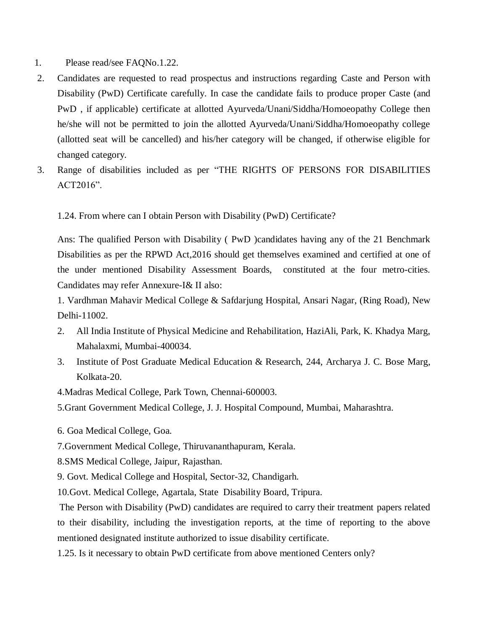- 1. Please read/see FAQNo.1.22.
- 2. Candidates are requested to read prospectus and instructions regarding Caste and Person with Disability (PwD) Certificate carefully. In case the candidate fails to produce proper Caste (and PwD , if applicable) certificate at allotted Ayurveda/Unani/Siddha/Homoeopathy College then he/she will not be permitted to join the allotted Ayurveda/Unani/Siddha/Homoeopathy college (allotted seat will be cancelled) and his/her category will be changed, if otherwise eligible for changed category.
- 3. Range of disabilities included as per "THE RIGHTS OF PERSONS FOR DISABILITIES ACT2016".

1.24. From where can I obtain Person with Disability (PwD) Certificate?

Ans: The qualified Person with Disability ( PwD )candidates having any of the 21 Benchmark Disabilities as per the RPWD Act,2016 should get themselves examined and certified at one of the under mentioned Disability Assessment Boards, constituted at the four metro-cities. Candidates may refer Annexure-I& II also:

1. Vardhman Mahavir Medical College & Safdarjung Hospital, Ansari Nagar, (Ring Road), New Delhi-11002.

- 2. All India Institute of Physical Medicine and Rehabilitation, HaziAli, Park, K. Khadya Marg, Mahalaxmi, Mumbai-400034.
- 3. Institute of Post Graduate Medical Education & Research, 244, Archarya J. C. Bose Marg, Kolkata-20.

4.Madras Medical College, Park Town, Chennai-600003.

5.Grant Government Medical College, J. J. Hospital Compound, Mumbai, Maharashtra.

6. Goa Medical College, Goa.

7.Government Medical College, Thiruvananthapuram, Kerala.

8.SMS Medical College, Jaipur, Rajasthan.

9. Govt. Medical College and Hospital, Sector-32, Chandigarh.

10.Govt. Medical College, Agartala, State Disability Board, Tripura.

The Person with Disability (PwD) candidates are required to carry their treatment papers related to their disability, including the investigation reports, at the time of reporting to the above mentioned designated institute authorized to issue disability certificate.

1.25. Is it necessary to obtain PwD certificate from above mentioned Centers only?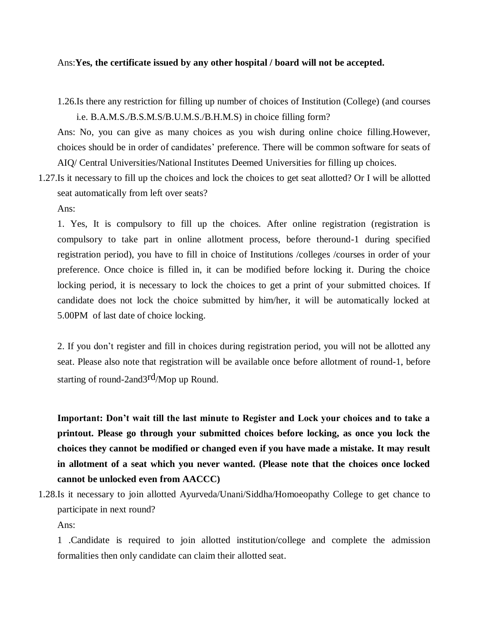#### Ans:**Yes, the certificate issued by any other hospital / board will not be accepted.**

1.26.Is there any restriction for filling up number of choices of Institution (College) (and courses i.e. B.A.M.S./B.S.M.S/B.U.M.S./B.H.M.S) in choice filling form?

Ans: No, you can give as many choices as you wish during online choice filling.However, choices should be in order of candidates' preference. There will be common software for seats of AIQ/ Central Universities/National Institutes Deemed Universities for filling up choices.

1.27.Is it necessary to fill up the choices and lock the choices to get seat allotted? Or I will be allotted seat automatically from left over seats?

Ans:

1. Yes, It is compulsory to fill up the choices. After online registration (registration is compulsory to take part in online allotment process, before theround-1 during specified registration period), you have to fill in choice of Institutions /colleges /courses in order of your preference. Once choice is filled in, it can be modified before locking it. During the choice locking period, it is necessary to lock the choices to get a print of your submitted choices. If candidate does not lock the choice submitted by him/her, it will be automatically locked at 5.00PM of last date of choice locking.

2. If you don't register and fill in choices during registration period, you will not be allotted any seat. Please also note that registration will be available once before allotment of round-1, before starting of round-2and3rd/Mop up Round.

**Important: Don't wait till the last minute to Register and Lock your choices and to take a printout. Please go through your submitted choices before locking, as once you lock the choices they cannot be modified or changed even if you have made a mistake. It may result in allotment of a seat which you never wanted. (Please note that the choices once locked cannot be unlocked even from AACCC)**

1.28.Is it necessary to join allotted Ayurveda/Unani/Siddha/Homoeopathy College to get chance to participate in next round?

Ans:

1 .Candidate is required to join allotted institution/college and complete the admission formalities then only candidate can claim their allotted seat.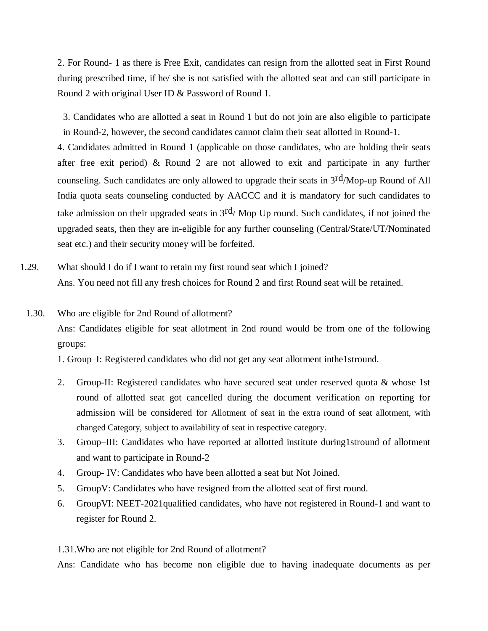2. For Round- 1 as there is Free Exit, candidates can resign from the allotted seat in First Round during prescribed time, if he/ she is not satisfied with the allotted seat and can still participate in Round 2 with original User ID & Password of Round 1.

3. Candidates who are allotted a seat in Round 1 but do not join are also eligible to participate in Round-2, however, the second candidates cannot claim their seat allotted in Round-1.

4. Candidates admitted in Round 1 (applicable on those candidates, who are holding their seats after free exit period) & Round 2 are not allowed to exit and participate in any further counseling. Such candidates are only allowed to upgrade their seats in 3rd/Mop-up Round of All India quota seats counseling conducted by AACCC and it is mandatory for such candidates to take admission on their upgraded seats in  $3<sup>rd</sup>/$  Mop Up round. Such candidates, if not joined the upgraded seats, then they are in-eligible for any further counseling (Central/State/UT/Nominated seat etc.) and their security money will be forfeited.

1.29. What should I do if I want to retain my first round seat which I joined? Ans. You need not fill any fresh choices for Round 2 and first Round seat will be retained.

#### 1.30. Who are eligible for 2nd Round of allotment?

Ans: Candidates eligible for seat allotment in 2nd round would be from one of the following groups:

1. Group–I: Registered candidates who did not get any seat allotment inthe1stround.

- 2. Group-II: Registered candidates who have secured seat under reserved quota & whose 1st round of allotted seat got cancelled during the document verification on reporting for admission will be considered for Allotment of seat in the extra round of seat allotment, with changed Category, subject to availability of seat in respective category.
- 3. Group–III: Candidates who have reported at allotted institute during1stround of allotment and want to participate in Round-2
- 4. Group- IV: Candidates who have been allotted a seat but Not Joined.
- 5. GroupV: Candidates who have resigned from the allotted seat of first round.
- 6. GroupVI: NEET-2021qualified candidates, who have not registered in Round-1 and want to register for Round 2.

1.31.Who are not eligible for 2nd Round of allotment?

Ans: Candidate who has become non eligible due to having inadequate documents as per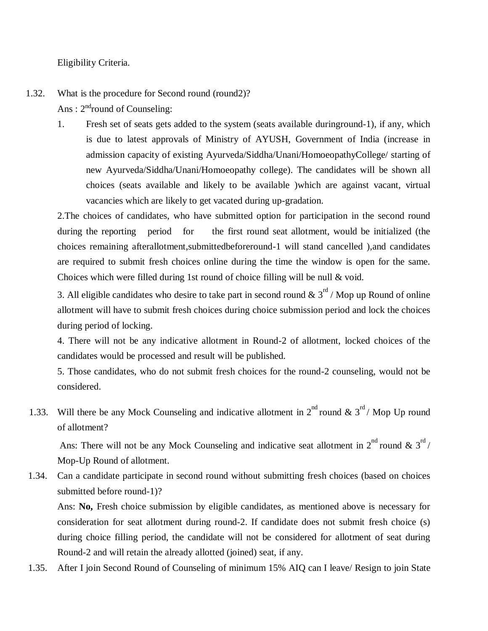Eligibility Criteria.

# 1.32. What is the procedure for Second round (round2)? Ans:  $2<sup>nd</sup>$ round of Counseling:

1. Fresh set of seats gets added to the system (seats available duringround-1), if any, which is due to latest approvals of Ministry of AYUSH, Government of India (increase in admission capacity of existing Ayurveda/Siddha/Unani/HomoeopathyCollege/ starting of new Ayurveda/Siddha/Unani/Homoeopathy college). The candidates will be shown all choices (seats available and likely to be available )which are against vacant, virtual vacancies which are likely to get vacated during up-gradation.

2.The choices of candidates, who have submitted option for participation in the second round during the reporting period for the first round seat allotment, would be initialized (the choices remaining afterallotment,submittedbeforeround-1 will stand cancelled ),and candidates are required to submit fresh choices online during the time the window is open for the same. Choices which were filled during 1st round of choice filling will be null & void.

3. All eligible candidates who desire to take part in second round  $\& 3^{rd}$  / Mop up Round of online allotment will have to submit fresh choices during choice submission period and lock the choices during period of locking.

4. There will not be any indicative allotment in Round-2 of allotment, locked choices of the candidates would be processed and result will be published.

5. Those candidates, who do not submit fresh choices for the round-2 counseling, would not be considered.

1.33. Will there be any Mock Counseling and indicative allotment in  $2^{nd}$  round &  $3^{rd}$  / Mop Up round of allotment?

Ans: There will not be any Mock Counseling and indicative seat allotment in  $2^{nd}$  round &  $3^{rd}$ Mop-Up Round of allotment.

1.34. Can a candidate participate in second round without submitting fresh choices (based on choices submitted before round-1)?

Ans: **No,** Fresh choice submission by eligible candidates, as mentioned above is necessary for consideration for seat allotment during round-2. If candidate does not submit fresh choice (s) during choice filling period, the candidate will not be considered for allotment of seat during Round-2 and will retain the already allotted (joined) seat, if any.

1.35. After I join Second Round of Counseling of minimum 15% AIQ can I leave/ Resign to join State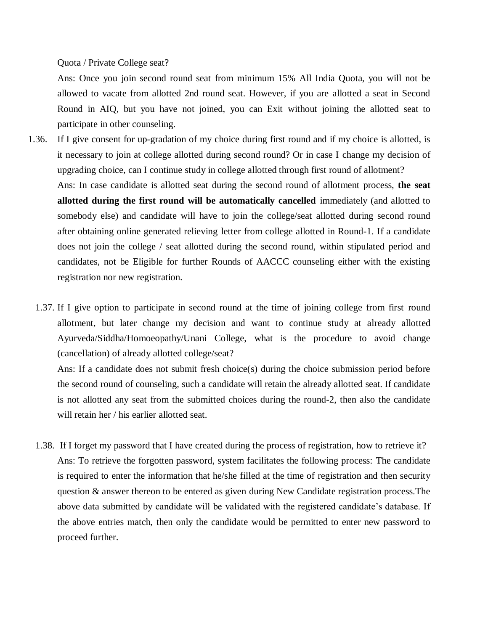Quota / Private College seat?

Ans: Once you join second round seat from minimum 15% All India Quota, you will not be allowed to vacate from allotted 2nd round seat. However, if you are allotted a seat in Second Round in AIQ, but you have not joined, you can Exit without joining the allotted seat to participate in other counseling.

- 1.36. If I give consent for up-gradation of my choice during first round and if my choice is allotted, is it necessary to join at college allotted during second round? Or in case I change my decision of upgrading choice, can I continue study in college allotted through first round of allotment? Ans: In case candidate is allotted seat during the second round of allotment process, **the seat allotted during the first round will be automatically cancelled** immediately (and allotted to somebody else) and candidate will have to join the college/seat allotted during second round after obtaining online generated relieving letter from college allotted in Round-1. If a candidate does not join the college / seat allotted during the second round, within stipulated period and candidates, not be Eligible for further Rounds of AACCC counseling either with the existing registration nor new registration.
	- 1.37. If I give option to participate in second round at the time of joining college from first round allotment, but later change my decision and want to continue study at already allotted Ayurveda/Siddha/Homoeopathy/Unani College, what is the procedure to avoid change (cancellation) of already allotted college/seat?

Ans: If a candidate does not submit fresh choice(s) during the choice submission period before the second round of counseling, such a candidate will retain the already allotted seat. If candidate is not allotted any seat from the submitted choices during the round-2, then also the candidate will retain her / his earlier allotted seat.

1.38. If I forget my password that I have created during the process of registration, how to retrieve it? Ans: To retrieve the forgotten password, system facilitates the following process: The candidate is required to enter the information that he/she filled at the time of registration and then security question & answer thereon to be entered as given during New Candidate registration process.The above data submitted by candidate will be validated with the registered candidate's database. If the above entries match, then only the candidate would be permitted to enter new password to proceed further.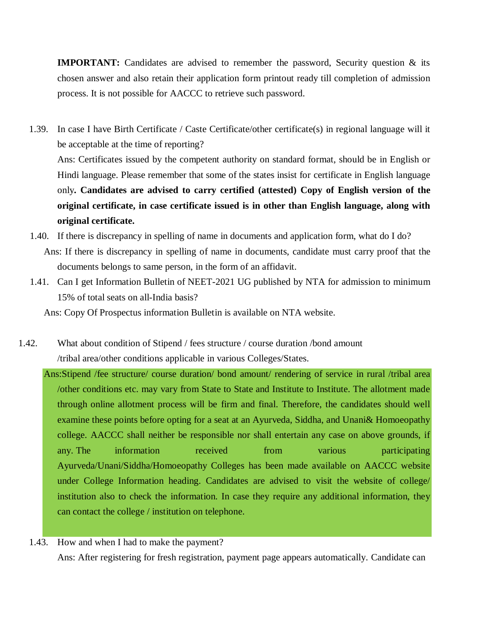**IMPORTANT:** Candidates are advised to remember the password, Security question & its chosen answer and also retain their application form printout ready till completion of admission process. It is not possible for AACCC to retrieve such password.

1.39. In case I have Birth Certificate / Caste Certificate/other certificate(s) in regional language will it be acceptable at the time of reporting? Ans: Certificates issued by the competent authority on standard format, should be in English or Hindi language. Please remember that some of the states insist for certificate in English language only**. Candidates are advised to carry certified (attested) Copy of English version of the original certificate, in case certificate issued is in other than English language, along with original certificate.**

- 1.40. If there is discrepancy in spelling of name in documents and application form, what do I do? Ans: If there is discrepancy in spelling of name in documents, candidate must carry proof that the documents belongs to same person, in the form of an affidavit.
- 1.41. Can I get Information Bulletin of NEET-2021 UG published by NTA for admission to minimum 15% of total seats on all-India basis?

Ans: Copy Of Prospectus information Bulletin is available on NTA website.

1.42. What about condition of Stipend / fees structure / course duration /bond amount /tribal area/other conditions applicable in various Colleges/States.

Ans:Stipend /fee structure/ course duration/ bond amount/ rendering of service in rural /tribal area /other conditions etc. may vary from State to State and Institute to Institute. The allotment made through online allotment process will be firm and final. Therefore, the candidates should well examine these points before opting for a seat at an Ayurveda, Siddha, and Unani& Homoeopathy college. AACCC shall neither be responsible nor shall entertain any case on above grounds, if any. The information received from various participating Ayurveda/Unani/Siddha/Homoeopathy Colleges has been made available on AACCC website under College Information heading. Candidates are advised to visit the website of college/ institution also to check the information. In case they require any additional information, they can contact the college / institution on telephone.

1.43. How and when I had to make the payment?

Ans: After registering for fresh registration, payment page appears automatically. Candidate can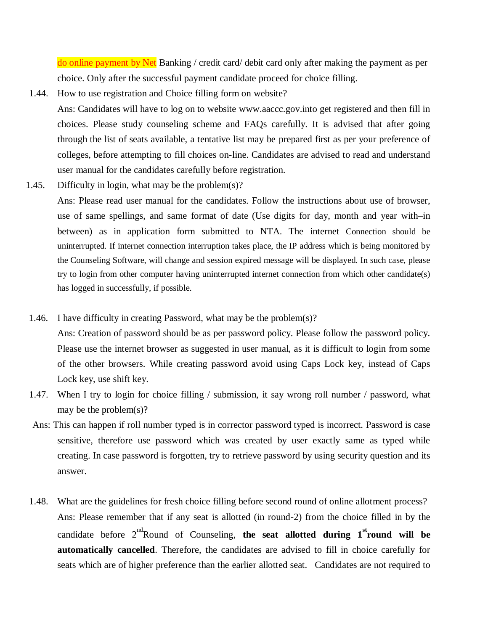do online payment by Net Banking / credit card/ debit card only after making the payment as per choice. Only after the successful payment candidate proceed for choice filling.

1.44. How to use registration and Choice filling form on website?

Ans: Candidates will have to log on to website [www.aaccc.gov.int](http://www.aaccc.gov.in/)o get registered and then fill in choices. Please study counseling scheme and FAQs carefully. It is advised that after going through the list of seats available, a tentative list may be prepared first as per your preference of colleges, before attempting to fill choices on-line. Candidates are advised to read and understand user manual for the candidates carefully before registration.

1.45. Difficulty in login, what may be the problem $(s)$ ?

Ans: Please read user manual for the candidates. Follow the instructions about use of browser, use of same spellings, and same format of date (Use digits for day, month and year with–in between) as in application form submitted to NTA. The internet Connection should be uninterrupted. If internet connection interruption takes place, the IP address which is being monitored by the Counseling Software, will change and session expired message will be displayed. In such case, please try to login from other computer having uninterrupted internet connection from which other candidate(s) has logged in successfully, if possible.

- 1.46. I have difficulty in creating Password, what may be the problem(s)? Ans: Creation of password should be as per password policy. Please follow the password policy. Please use the internet browser as suggested in user manual, as it is difficult to login from some of the other browsers. While creating password avoid using Caps Lock key, instead of Caps Lock key, use shift key.
- 1.47. When I try to login for choice filling / submission, it say wrong roll number / password, what may be the problem(s)?
- Ans: This can happen if roll number typed is in corrector password typed is incorrect. Password is case sensitive, therefore use password which was created by user exactly same as typed while creating. In case password is forgotten, try to retrieve password by using security question and its answer.
- 1.48. What are the guidelines for fresh choice filling before second round of online allotment process? Ans: Please remember that if any seat is allotted (in round-2) from the choice filled in by the candidate before  $2^{nd}$ Round of Counseling, the seat allotted during  $1^{st}$ round will be **automatically cancelled**. Therefore, the candidates are advised to fill in choice carefully for seats which are of higher preference than the earlier allotted seat. Candidates are not required to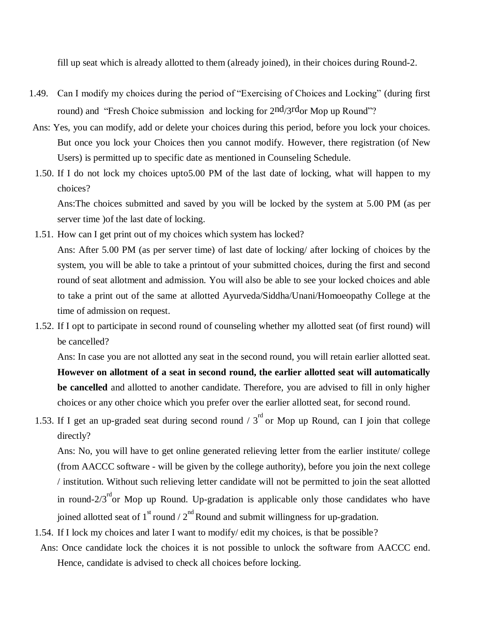fill up seat which is already allotted to them (already joined), in their choices during Round-2.

- 1.49. Can I modify my choices during the period of "Exercising of Choices and Locking" (during first round) and "Fresh Choice submission and locking for  $2<sup>nd</sup>/3<sup>rd</sup>$  Mop up Round"?
- Ans: Yes, you can modify, add or delete your choices during this period, before you lock your choices. But once you lock your Choices then you cannot modify. However, there registration (of New Users) is permitted up to specific date as mentioned in Counseling Schedule.
- 1.50. If I do not lock my choices upto5.00 PM of the last date of locking, what will happen to my choices?

Ans:The choices submitted and saved by you will be locked by the system at 5.00 PM (as per server time )of the last date of locking.

- 1.51. How can I get print out of my choices which system has locked? Ans: After 5.00 PM (as per server time) of last date of locking/ after locking of choices by the system, you will be able to take a printout of your submitted choices, during the first and second round of seat allotment and admission. You will also be able to see your locked choices and able to take a print out of the same at allotted Ayurveda/Siddha/Unani/Homoeopathy College at the time of admission on request.
- 1.52. If I opt to participate in second round of counseling whether my allotted seat (of first round) will be cancelled?

Ans: In case you are not allotted any seat in the second round, you will retain earlier allotted seat. **However on allotment of a seat in second round, the earlier allotted seat will automatically be cancelled** and allotted to another candidate. Therefore, you are advised to fill in only higher choices or any other choice which you prefer over the earlier allotted seat, for second round.

1.53. If I get an up-graded seat during second round  $/3^{rd}$  or Mop up Round, can I join that college directly?

Ans: No, you will have to get online generated relieving letter from the earlier institute/ college (from AACCC software - will be given by the college authority), before you join the next college / institution. Without such relieving letter candidate will not be permitted to join the seat allotted in round- $2/3<sup>rd</sup>$ or Mop up Round. Up-gradation is applicable only those candidates who have joined allotted seat of  $1^{st}$  round /  $2^{nd}$  Round and submit willingness for up-gradation.

- 1.54. If I lock my choices and later I want to modify/ edit my choices, is that be possible?
- Ans: Once candidate lock the choices it is not possible to unlock the software from AACCC end. Hence, candidate is advised to check all choices before locking.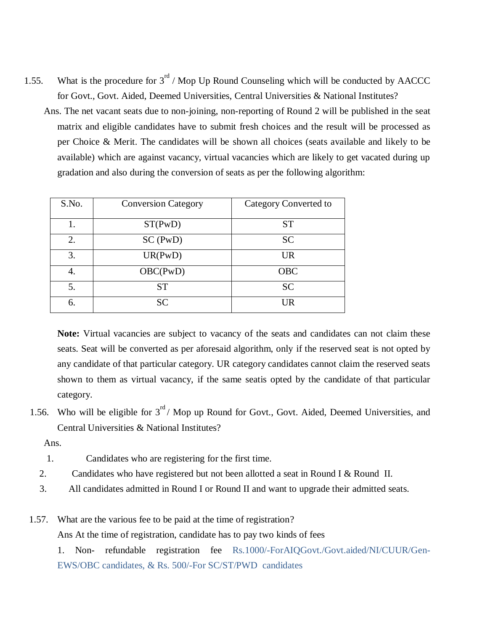- 1.55. What is the procedure for  $3<sup>rd</sup>$  / Mop Up Round Counseling which will be conducted by AACCC for Govt., Govt. Aided, Deemed Universities, Central Universities & National Institutes?
	- Ans. The net vacant seats due to non-joining, non-reporting of Round 2 will be published in the seat matrix and eligible candidates have to submit fresh choices and the result will be processed as per Choice & Merit. The candidates will be shown all choices (seats available and likely to be available) which are against vacancy, virtual vacancies which are likely to get vacated during up gradation and also during the conversion of seats as per the following algorithm:

| S.No. | <b>Conversion Category</b> | Category Converted to |
|-------|----------------------------|-----------------------|
|       | ST(PwD)                    | <b>ST</b>             |
| 2.    | SC(PwD)                    | <b>SC</b>             |
| 3.    | UR(PwD)                    | <b>UR</b>             |
| 4.    | OBC(PwD)                   | <b>OBC</b>            |
| 5.    | <b>ST</b>                  | <b>SC</b>             |
| 6.    | <b>SC</b>                  | <b>UR</b>             |

**Note:** Virtual vacancies are subject to vacancy of the seats and candidates can not claim these seats. Seat will be converted as per aforesaid algorithm, only if the reserved seat is not opted by any candidate of that particular category. UR category candidates cannot claim the reserved seats shown to them as virtual vacancy, if the same seatis opted by the candidate of that particular category.

1.56. Who will be eligible for  $3<sup>rd</sup>$  Mop up Round for Govt., Govt. Aided, Deemed Universities, and Central Universities & National Institutes?

Ans.

- 1. Candidates who are registering for the first time.
- 2. Candidates who have registered but not been allotted a seat in Round I & Round II.
- 3. All candidates admitted in Round I or Round II and want to upgrade their admitted seats.

1.57. What are the various fee to be paid at the time of registration?

Ans At the time of registration, candidate has to pay two kinds of fees

1. Non- refundable registration fee Rs.1000/-ForAIQGovt./Govt.aided/NI/CUUR/Gen-EWS/OBC candidates, & Rs. 500/-For SC/ST/PWD candidates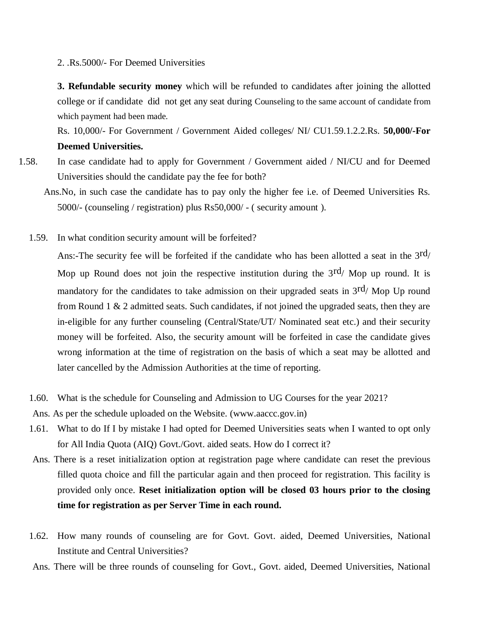2. .Rs.5000/- For Deemed Universities

**3. Refundable security money** which will be refunded to candidates after joining the allotted college or if candidate did not get any seat during Counseling to the same account of candidate from which payment had been made.

Rs. 10,000/- For Government / Government Aided colleges/ NI/ CU1.59.1.2.2.Rs. **50,000/-For Deemed Universities.** 

- 1.58. In case candidate had to apply for Government / Government aided / NI/CU and for Deemed Universities should the candidate pay the fee for both?
	- Ans.No, in such case the candidate has to pay only the higher fee i.e. of Deemed Universities Rs. 5000/- (counseling / registration) plus Rs50,000/ - ( security amount ).
	- 1.59. In what condition security amount will be forfeited?

Ans:-The security fee will be forfeited if the candidate who has been allotted a seat in the  $3<sup>rd</sup>$ Mop up Round does not join the respective institution during the  $3<sup>rd</sup>/$  Mop up round. It is mandatory for the candidates to take admission on their upgraded seats in  $3<sup>rd</sup>/$  Mop Up round from Round 1 & 2 admitted seats. Such candidates, if not joined the upgraded seats, then they are in-eligible for any further counseling (Central/State/UT/ Nominated seat etc.) and their security money will be forfeited. Also, the security amount will be forfeited in case the candidate gives wrong information at the time of registration on the basis of which a seat may be allotted and later cancelled by the Admission Authorities at the time of reporting.

1.60. What is the schedule for Counseling and Admission to UG Courses for the year 2021?

Ans. As per the schedule uploaded on the Website. (www.aaccc.gov.in)

- 1.61. What to do If I by mistake I had opted for Deemed Universities seats when I wanted to opt only for All India Quota (AIQ) Govt./Govt. aided seats. How do I correct it?
- Ans. There is a reset initialization option at registration page where candidate can reset the previous filled quota choice and fill the particular again and then proceed for registration. This facility is provided only once. **Reset initialization option will be closed 03 hours prior to the closing time for registration as per Server Time in each round.**
- 1.62. How many rounds of counseling are for Govt. Govt. aided, Deemed Universities, National Institute and Central Universities?
- Ans. There will be three rounds of counseling for Govt., Govt. aided, Deemed Universities, National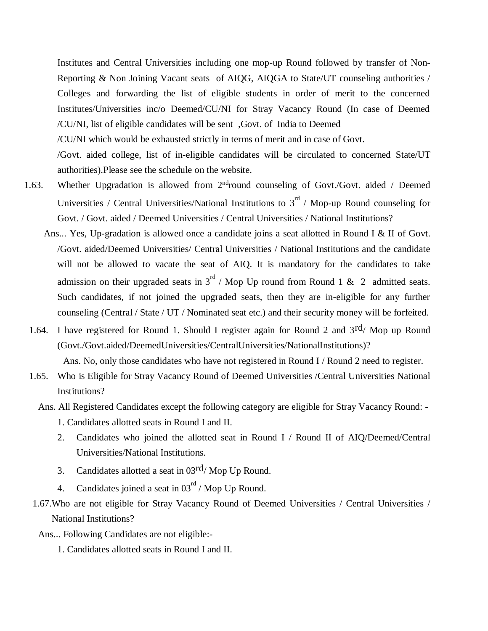Institutes and Central Universities including one mop-up Round followed by transfer of Non-Reporting & Non Joining Vacant seats of AIQG, AIQGA to State/UT counseling authorities / Colleges and forwarding the list of eligible students in order of merit to the concerned Institutes/Universities inc/o Deemed/CU/NI for Stray Vacancy Round (In case of Deemed /CU/NI, list of eligible candidates will be sent ,Govt. of India to Deemed /CU/NI which would be exhausted strictly in terms of merit and in case of Govt.

/Govt. aided college, list of in-eligible candidates will be circulated to concerned State/UT authorities).Please see the schedule on the website.

- 1.63. Whether Upgradation is allowed from 2<sup>nd</sup>round counseling of Govt./Govt. aided / Deemed Universities / Central Universities/National Institutions to  $3^{rd}$  / Mop-up Round counseling for Govt. / Govt. aided / Deemed Universities / Central Universities / National Institutions?
	- Ans... Yes, Up-gradation is allowed once a candidate joins a seat allotted in Round I & II of Govt. /Govt. aided/Deemed Universities/ Central Universities / National Institutions and the candidate will not be allowed to vacate the seat of AIQ. It is mandatory for the candidates to take admission on their upgraded seats in  $3^{rd}$  / Mop Up round from Round 1 & 2 admitted seats. Such candidates, if not joined the upgraded seats, then they are in-eligible for any further counseling (Central / State / UT / Nominated seat etc.) and their security money will be forfeited.
	- 1.64. I have registered for Round 1. Should I register again for Round 2 and 3rd/ Mop up Round (Govt./Govt.aided/DeemedUniversities/CentralUniversities/NationalInstitutions)?

Ans. No, only those candidates who have not registered in Round I / Round 2 need to register.

- 1.65. Who is Eligible for Stray Vacancy Round of Deemed Universities /Central Universities National Institutions?
	- Ans. All Registered Candidates except the following category are eligible for Stray Vacancy Round:
		- 1. Candidates allotted seats in Round I and II.
		- 2. Candidates who joined the allotted seat in Round I / Round II of AIQ/Deemed/Central Universities/National Institutions.
		- 3. Candidates allotted a seat in  $03^{rd}/$  Mop Up Round.
		- 4. Candidates joined a seat in  $03^{\text{rd}}$  / Mop Up Round.
- 1.67.Who are not eligible for Stray Vacancy Round of Deemed Universities / Central Universities / National Institutions?
- Ans... Following Candidates are not eligible:-
	- 1. Candidates allotted seats in Round I and II.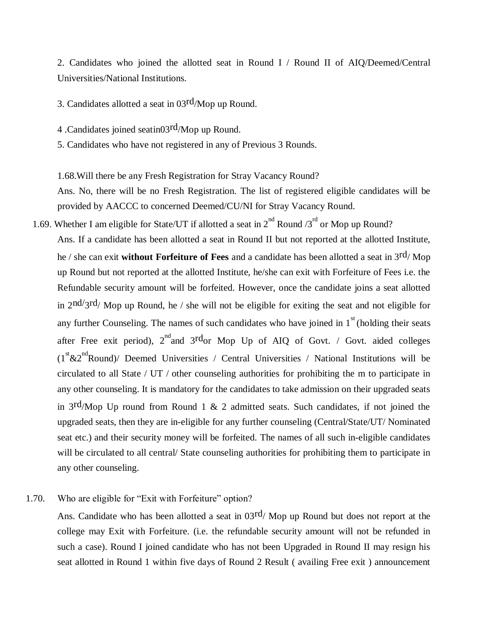2. Candidates who joined the allotted seat in Round I / Round II of AIQ/Deemed/Central Universities/National Institutions.

3. Candidates allotted a seat in 03rd/Mop up Round.

4 .Candidates joined seatin03rd/Mop up Round.

5. Candidates who have not registered in any of Previous 3 Rounds.

1.68.Will there be any Fresh Registration for Stray Vacancy Round?

Ans. No, there will be no Fresh Registration. The list of registered eligible candidates will be provided by AACCC to concerned Deemed/CU/NI for Stray Vacancy Round.

1.69. Whether I am eligible for State/UT if allotted a seat in  $2^{nd}$  Round /3<sup>rd</sup> or Mop up Round? Ans. If a candidate has been allotted a seat in Round II but not reported at the allotted Institute, he / she can exit **without Forfeiture of Fees** and a candidate has been allotted a seat in 3rd/ Mop up Round but not reported at the allotted Institute, he/she can exit with Forfeiture of Fees i.e. the Refundable security amount will be forfeited. However, once the candidate joins a seat allotted in  $2<sup>nd</sup>/3<sup>rd</sup>$  Mop up Round, he / she will not be eligible for exiting the seat and not eligible for any further Counseling. The names of such candidates who have joined in  $1<sup>st</sup>$  (holding their seats after Free exit period),  $2<sup>nd</sup>$  and  $3<sup>rd</sup>$ or Mop Up of AIQ of Govt. / Govt. aided colleges  $(1<sup>st</sup> & 2<sup>nd</sup> Round)$  Deemed Universities / Central Universities / National Institutions will be circulated to all State / UT / other counseling authorities for prohibiting the m to participate in any other counseling. It is mandatory for the candidates to take admission on their upgraded seats in  $3rd/Mop$  Up round from Round 1 & 2 admitted seats. Such candidates, if not joined the upgraded seats, then they are in-eligible for any further counseling (Central/State/UT/ Nominated seat etc.) and their security money will be forfeited. The names of all such in-eligible candidates will be circulated to all central/ State counseling authorities for prohibiting them to participate in any other counseling.

#### 1.70. Who are eligible for "Exit with Forfeiture" option?

Ans. Candidate who has been allotted a seat in  $03^{rd}/$  Mop up Round but does not report at the college may Exit with Forfeiture. (i.e. the refundable security amount will not be refunded in such a case). Round I joined candidate who has not been Upgraded in Round II may resign his seat allotted in Round 1 within five days of Round 2 Result ( availing Free exit ) announcement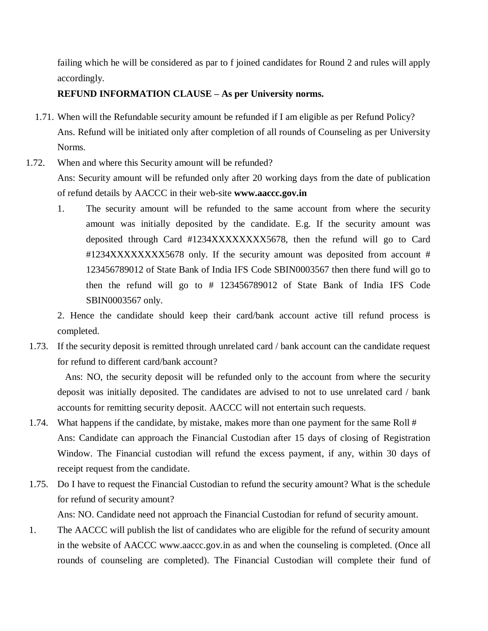failing which he will be considered as par to f joined candidates for Round 2 and rules will apply accordingly.

### **REFUND INFORMATION CLAUSE – As per University norms.**

- 1.71. When will the Refundable security amount be refunded if I am eligible as per Refund Policy? Ans. Refund will be initiated only after completion of all rounds of Counseling as per University Norms.
- 1.72. When and where this Security amount will be refunded? Ans: Security amount will be refunded only after 20 working days from the date of publication of refund details by AACCC in their web-site **[www.aaccc.gov.in](http://www.aaccc.gov.in/)**
	- 1. The security amount will be refunded to the same account from where the security amount was initially deposited by the candidate. E.g. If the security amount was deposited through Card #1234XXXXXXXX5678, then the refund will go to Card #1234XXXXXXXX5678 only. If the security amount was deposited from account # 123456789012 of State Bank of India IFS Code SBIN0003567 then there fund will go to then the refund will go to # 123456789012 of State Bank of India IFS Code SBIN0003567 only.

2. Hence the candidate should keep their card/bank account active till refund process is completed.

1.73. If the security deposit is remitted through unrelated card / bank account can the candidate request for refund to different card/bank account?

Ans: NO, the security deposit will be refunded only to the account from where the security deposit was initially deposited. The candidates are advised to not to use unrelated card / bank accounts for remitting security deposit. AACCC will not entertain such requests.

- 1.74. What happens if the candidate, by mistake, makes more than one payment for the same Roll # Ans: Candidate can approach the Financial Custodian after 15 days of closing of Registration Window. The Financial custodian will refund the excess payment, if any, within 30 days of receipt request from the candidate.
- 1.75. Do I have to request the Financial Custodian to refund the security amount? What is the schedule for refund of security amount?

Ans: NO. Candidate need not approach the Financial Custodian for refund of security amount.

1. The AACCC will publish the list of candidates who are eligible for the refund of security amount in the website of AACCC [www.aaccc.gov.in a](http://www.aaccc.gov.in/)s and when the counseling is completed. (Once all rounds of counseling are completed). The Financial Custodian will complete their fund of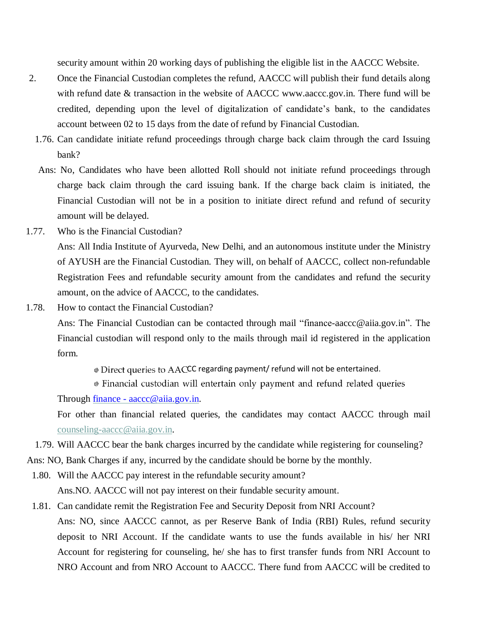security amount within 20 working days of publishing the eligible list in the AACCC Website.

- 2. Once the Financial Custodian completes the refund, AACCC will publish their fund details along with refund date & transaction in the website of AACCC www.aaccc.gov.in. There fund will be credited, depending upon the level of digitalization of candidate's bank, to the candidates account between 02 to 15 days from the date of refund by Financial Custodian.
	- 1.76. Can candidate initiate refund proceedings through charge back claim through the card Issuing bank?
	- Ans: No, Candidates who have been allotted Roll should not initiate refund proceedings through charge back claim through the card issuing bank. If the charge back claim is initiated, the Financial Custodian will not be in a position to initiate direct refund and refund of security amount will be delayed.
- 1.77. Who is the Financial Custodian?

Ans: All India Institute of Ayurveda, New Delhi, and an autonomous institute under the Ministry of AYUSH are the Financial Custodian. They will, on behalf of AACCC, collect non-refundable Registration Fees and refundable security amount from the candidates and refund the security amount, on the advice of AACCC, to the candidates.

1.78. How to contact the Financial Custodian?

Ans: The Financial Custodian can be contacted through mail "finance[-aaccc@aiia.gov.in"](mailto:aaccc@aiia.gov.in). The Financial custodian will respond only to the mails through mail id registered in the application form.

 $\odot$  Direct queries to AACCC regarding payment/ refund will not be entertained.

• Financial custodian will entertain only payment and refund related queries

Through finance - [aaccc@aiia.gov.in.](mailto:finance%20-%20aaccc@aiia.gov.in)

For other than financial related queries, the candidates may contact AACCC through mail [counseling-aaccc@aiia.gov.in.](mailto:counseling-aaccc@aiia.gov.in)

1.79. Will AACCC bear the bank charges incurred by the candidate while registering for counseling?

Ans: NO, Bank Charges if any, incurred by the candidate should be borne by the monthly.

- 1.80. Will the AACCC pay interest in the refundable security amount? Ans.NO. AACCC will not pay interest on their fundable security amount.
- 1.81. Can candidate remit the Registration Fee and Security Deposit from NRI Account? Ans: NO, since AACCC cannot, as per Reserve Bank of India (RBI) Rules, refund security deposit to NRI Account. If the candidate wants to use the funds available in his/ her NRI Account for registering for counseling, he/ she has to first transfer funds from NRI Account to NRO Account and from NRO Account to AACCC. There fund from AACCC will be credited to